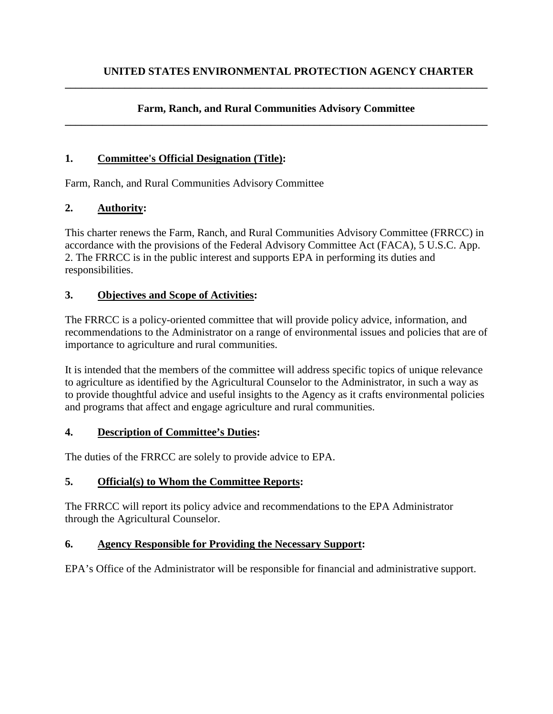#### **Farm, Ranch, and Rural Communities Advisory Committee \_\_\_\_\_\_\_\_\_\_\_\_\_\_\_\_\_\_\_\_\_\_\_\_\_\_\_\_\_\_\_\_\_\_\_\_\_\_\_\_\_\_\_\_\_\_\_\_\_\_\_\_\_\_\_\_\_\_\_\_\_\_\_\_\_\_\_\_\_\_\_\_\_\_\_\_\_\_**

**\_\_\_\_\_\_\_\_\_\_\_\_\_\_\_\_\_\_\_\_\_\_\_\_\_\_\_\_\_\_\_\_\_\_\_\_\_\_\_\_\_\_\_\_\_\_\_\_\_\_\_\_\_\_\_\_\_\_\_\_\_\_\_\_\_\_\_\_\_\_\_\_\_\_\_\_\_\_**

### **1. Committee's Official Designation (Title):**

Farm, Ranch, and Rural Communities Advisory Committee

### **2. Authority:**

This charter renews the Farm, Ranch, and Rural Communities Advisory Committee (FRRCC) in accordance with the provisions of the Federal Advisory Committee Act (FACA), 5 U.S.C. App. 2. The FRRCC is in the public interest and supports EPA in performing its duties and responsibilities.

### **3. Objectives and Scope of Activities:**

The FRRCC is a policy-oriented committee that will provide policy advice, information, and recommendations to the Administrator on a range of environmental issues and policies that are of importance to agriculture and rural communities.

It is intended that the members of the committee will address specific topics of unique relevance to agriculture as identified by the Agricultural Counselor to the Administrator, in such a way as to provide thoughtful advice and useful insights to the Agency as it crafts environmental policies and programs that affect and engage agriculture and rural communities.

#### **4. Description of Committee's Duties:**

The duties of the FRRCC are solely to provide advice to EPA.

## **5. Official(s) to Whom the Committee Reports:**

The FRRCC will report its policy advice and recommendations to the EPA Administrator through the Agricultural Counselor.

#### **6. Agency Responsible for Providing the Necessary Support:**

EPA's Office of the Administrator will be responsible for financial and administrative support.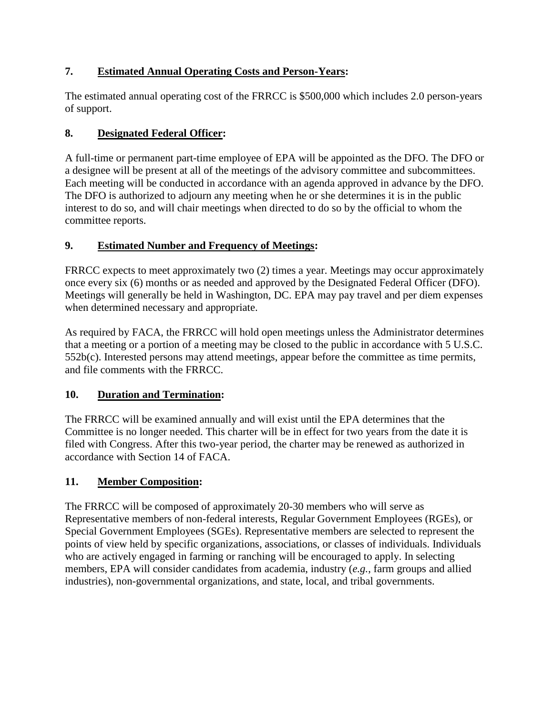# **7. Estimated Annual Operating Costs and Person-Years:**

The estimated annual operating cost of the FRRCC is \$500,000 which includes 2.0 person-years of support.

# **8. Designated Federal Officer:**

A full-time or permanent part-time employee of EPA will be appointed as the DFO. The DFO or a designee will be present at all of the meetings of the advisory committee and subcommittees. Each meeting will be conducted in accordance with an agenda approved in advance by the DFO. The DFO is authorized to adjourn any meeting when he or she determines it is in the public interest to do so, and will chair meetings when directed to do so by the official to whom the committee reports.

# **9. Estimated Number and Frequency of Meetings:**

FRRCC expects to meet approximately two (2) times a year. Meetings may occur approximately once every six (6) months or as needed and approved by the Designated Federal Officer (DFO). Meetings will generally be held in Washington, DC. EPA may pay travel and per diem expenses when determined necessary and appropriate.

As required by FACA, the FRRCC will hold open meetings unless the Administrator determines that a meeting or a portion of a meeting may be closed to the public in accordance with 5 U.S.C. 552b(c). Interested persons may attend meetings, appear before the committee as time permits, and file comments with the FRRCC.

## **10. Duration and Termination:**

The FRRCC will be examined annually and will exist until the EPA determines that the Committee is no longer needed. This charter will be in effect for two years from the date it is filed with Congress. After this two-year period, the charter may be renewed as authorized in accordance with Section 14 of FACA.

# **11. Member Composition:**

The FRRCC will be composed of approximately 20-30 members who will serve as Representative members of non-federal interests, Regular Government Employees (RGEs), or Special Government Employees (SGEs). Representative members are selected to represent the points of view held by specific organizations, associations, or classes of individuals. Individuals who are actively engaged in farming or ranching will be encouraged to apply. In selecting members, EPA will consider candidates from academia, industry (*e.g.*, farm groups and allied industries), non-governmental organizations, and state, local, and tribal governments.